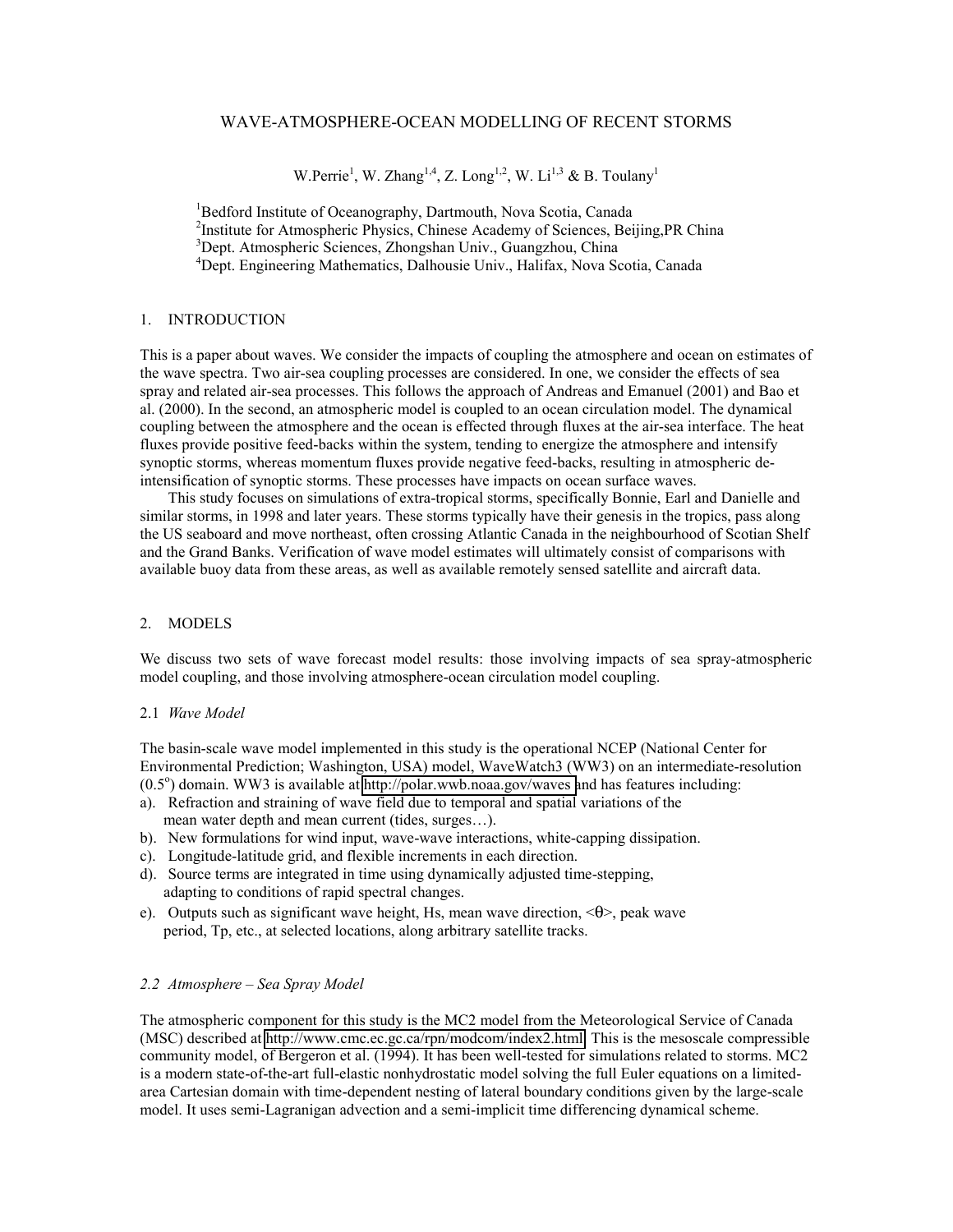# WAVE-ATMOSPHERE-OCEAN MODELLING OF RECENT STORMS

W.Perrie<sup>1</sup>, W. Zhang<sup>1,4</sup>, Z. Long<sup>1,2</sup>, W. Li<sup>1,3</sup> & B. Toulany<sup>1</sup>

<sup>1</sup>Bedford Institute of Oceanography, Dartmouth, Nova Scotia, Canada <sup>2</sup>Institute for Atmospheric Physics, Chinese Academy of Sciences, Beijing, PR China 3 Dept. Atmospheric Sciences, Zhongshan Univ., Guangzhou, China 4 Dept. Engineering Mathematics, Dalhousie Univ., Halifax, Nova Scotia, Canada

## 1. INTRODUCTION

This is a paper about waves. We consider the impacts of coupling the atmosphere and ocean on estimates of the wave spectra. Two air-sea coupling processes are considered. In one, we consider the effects of sea spray and related air-sea processes. This follows the approach of Andreas and Emanuel (2001) and Bao et al. (2000). In the second, an atmospheric model is coupled to an ocean circulation model. The dynamical coupling between the atmosphere and the ocean is effected through fluxes at the air-sea interface. The heat fluxes provide positive feed-backs within the system, tending to energize the atmosphere and intensify synoptic storms, whereas momentum fluxes provide negative feed-backs, resulting in atmospheric deintensification of synoptic storms. These processes have impacts on ocean surface waves.

This study focuses on simulations of extra-tropical storms, specifically Bonnie, Earl and Danielle and similar storms, in 1998 and later years. These storms typically have their genesis in the tropics, pass along the US seaboard and move northeast, often crossing Atlantic Canada in the neighbourhood of Scotian Shelf and the Grand Banks. Verification of wave model estimates will ultimately consist of comparisons with available buoy data from these areas, as well as available remotely sensed satellite and aircraft data.

## 2. MODELS

We discuss two sets of wave forecast model results: those involving impacts of sea spray-atmospheric model coupling, and those involving atmosphere-ocean circulation model coupling.

### 2.1 *Wave Model*

The basin-scale wave model implemented in this study is the operational NCEP (National Center for Environmental Prediction; Washington, USA) model, WaveWatch3 (WW3) on an intermediate-resolution  $(0.5^{\circ})$  domain. WW3 is available at [http://polar.wwb.noaa.gov/waves a](http://polar.wwb.noaa.gov/waves))nd has features including:

- a). Refraction and straining of wave field due to temporal and spatial variations of the mean water depth and mean current (tides, surges…).
- b). New formulations for wind input, wave-wave interactions, white-capping dissipation.
- c). Longitude-latitude grid, and flexible increments in each direction.
- d). Source terms are integrated in time using dynamically adjusted time-stepping, adapting to conditions of rapid spectral changes.
- e). Outputs such as significant wave height, Hs, mean wave direction, <θ>, peak wave period, Tp, etc., at selected locations, along arbitrary satellite tracks.

# *2.2 Atmosphere – Sea Spray Model*

The atmospheric component for this study is the MC2 model from the Meteorological Service of Canada (MSC) described at [http://www.cmc.ec.gc.ca/rpn/modcom/index2.html.](http://www.cmc.ec.gc.ca/rpn/modcom/index2.html) This is the mesoscale compressible community model, of Bergeron et al. (1994). It has been well-tested for simulations related to storms. MC2 is a modern state-of-the-art full-elastic nonhydrostatic model solving the full Euler equations on a limitedarea Cartesian domain with time-dependent nesting of lateral boundary conditions given by the large-scale model. It uses semi-Lagranigan advection and a semi-implicit time differencing dynamical scheme.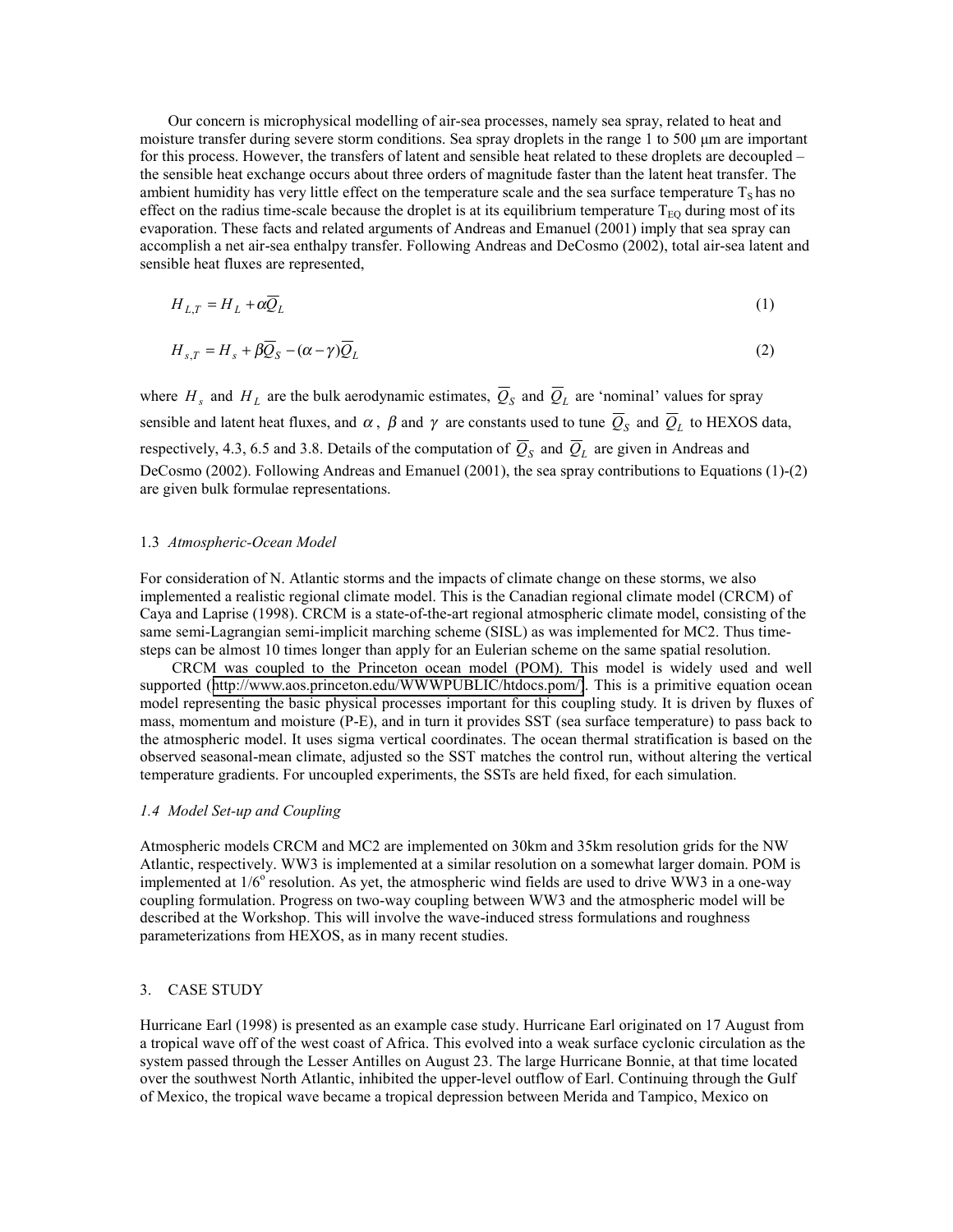Our concern is microphysical modelling of air-sea processes, namely sea spray, related to heat and moisture transfer during severe storm conditions. Sea spray droplets in the range 1 to 500 µm are important for this process. However, the transfers of latent and sensible heat related to these droplets are decoupled – the sensible heat exchange occurs about three orders of magnitude faster than the latent heat transfer. The ambient humidity has very little effect on the temperature scale and the sea surface temperature  $T<sub>S</sub>$  has no effect on the radius time-scale because the droplet is at its equilibrium temperature  $T_{EQ}$  during most of its evaporation. These facts and related arguments of Andreas and Emanuel (2001) imply that sea spray can accomplish a net air-sea enthalpy transfer. Following Andreas and DeCosmo (2002), total air-sea latent and sensible heat fluxes are represented,

$$
H_{L,T} = H_L + \alpha \overline{Q}_L \tag{1}
$$

$$
H_{s,T} = H_s + \beta \overline{Q}_S - (\alpha - \gamma) \overline{Q}_L \tag{2}
$$

where  $H_s$  and  $H_L$  are the bulk aerodynamic estimates,  $\overline{Q}_s$  and  $\overline{Q}_L$  are 'nominal' values for spray sensible and latent heat fluxes, and  $\alpha$ ,  $\beta$  and  $\gamma$  are constants used to tune  $\overline{Q}_s$  and  $\overline{Q}_L$  to HEXOS data, respectively, 4.3, 6.5 and 3.8. Details of the computation of  $\overline{Q}_s$  and  $\overline{Q}_L$  are given in Andreas and DeCosmo (2002). Following Andreas and Emanuel (2001), the sea spray contributions to Equations (1)-(2) are given bulk formulae representations.

### 1.3 *Atmospheric-Ocean Model*

For consideration of N. Atlantic storms and the impacts of climate change on these storms, we also implemented a realistic regional climate model. This is the Canadian regional climate model (CRCM) of Caya and Laprise (1998). CRCM is a state-of-the-art regional atmospheric climate model, consisting of the same semi-Lagrangian semi-implicit marching scheme (SISL) as was implemented for MC2. Thus timesteps can be almost 10 times longer than apply for an Eulerian scheme on the same spatial resolution.

CRCM was coupled to the Princeton ocean model (POM). This model is widely used and well supported ([http://www.aos.princeton.edu/WWWPUBLIC/htdocs.pom/\)](http://www.aos.princeton.edu/WWWPUBLIC/htdocs.pom/). This is a primitive equation ocean model representing the basic physical processes important for this coupling study. It is driven by fluxes of mass, momentum and moisture (P-E), and in turn it provides SST (sea surface temperature) to pass back to the atmospheric model. It uses sigma vertical coordinates. The ocean thermal stratification is based on the observed seasonal-mean climate, adjusted so the SST matches the control run, without altering the vertical temperature gradients. For uncoupled experiments, the SSTs are held fixed, for each simulation.

#### *1.4 Model Set-up and Coupling*

Atmospheric models CRCM and MC2 are implemented on 30km and 35km resolution grids for the NW Atlantic, respectively. WW3 is implemented at a similar resolution on a somewhat larger domain. POM is implemented at  $1/6^{\circ}$  resolution. As yet, the atmospheric wind fields are used to drive WW3 in a one-way coupling formulation. Progress on two-way coupling between WW3 and the atmospheric model will be described at the Workshop. This will involve the wave-induced stress formulations and roughness parameterizations from HEXOS, as in many recent studies.

#### 3. CASE STUDY

Hurricane Earl (1998) is presented as an example case study. Hurricane Earl originated on 17 August from a tropical wave off of the west coast of Africa. This evolved into a weak surface cyclonic circulation as the system passed through the Lesser Antilles on August 23. The large Hurricane Bonnie, at that time located over the southwest North Atlantic, inhibited the upper-level outflow of Earl. Continuing through the Gulf of Mexico, the tropical wave became a tropical depression between Merida and Tampico, Mexico on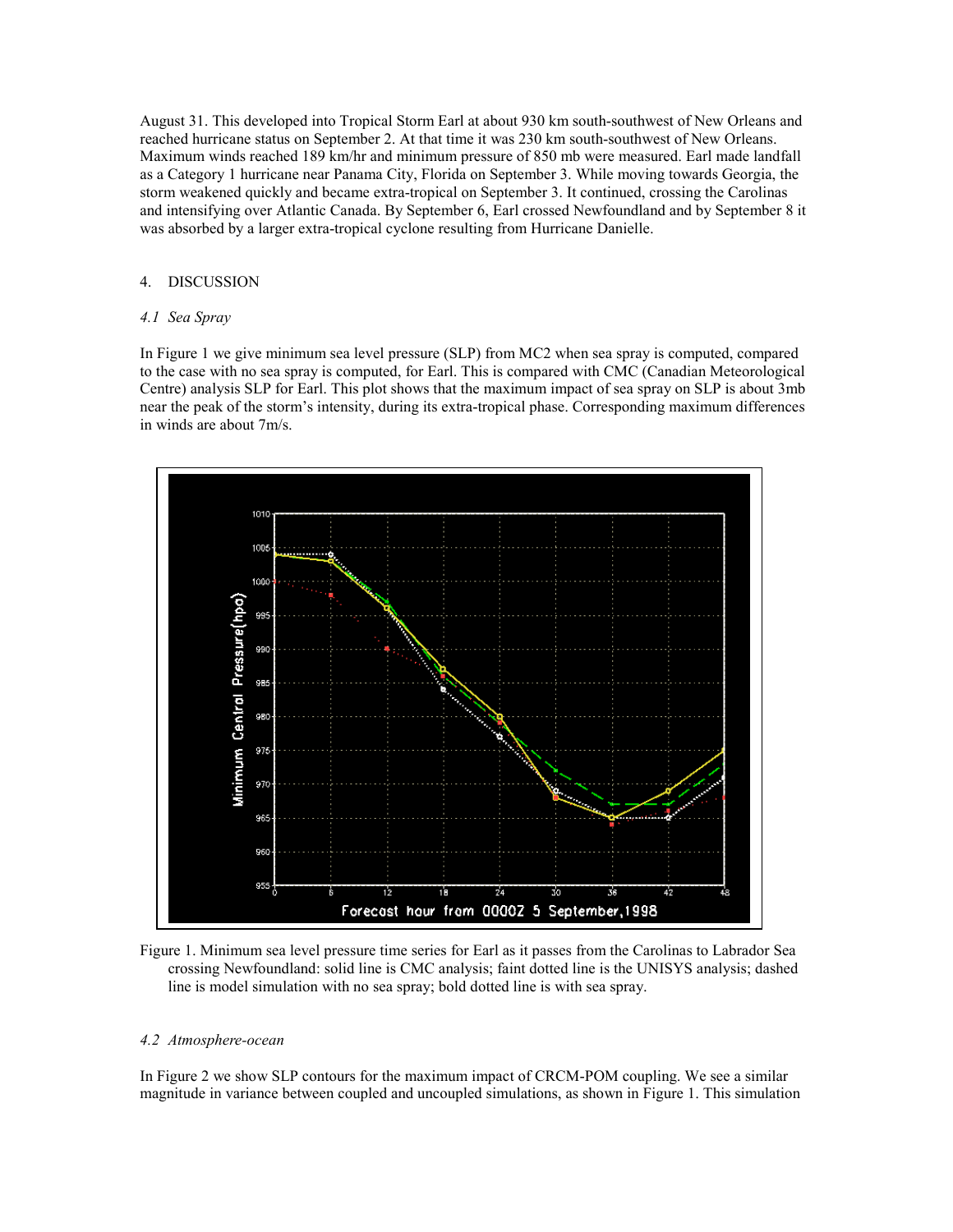August 31. This developed into Tropical Storm Earl at about 930 km south-southwest of New Orleans and reached hurricane status on September 2. At that time it was 230 km south-southwest of New Orleans. Maximum winds reached 189 km/hr and minimum pressure of 850 mb were measured. Earl made landfall as a Category 1 hurricane near Panama City, Florida on September 3. While moving towards Georgia, the storm weakened quickly and became extra-tropical on September 3. It continued, crossing the Carolinas and intensifying over Atlantic Canada. By September 6, Earl crossed Newfoundland and by September 8 it was absorbed by a larger extra-tropical cyclone resulting from Hurricane Danielle.

## 4. DISCUSSION

## *4.1 Sea Spray*

In Figure 1 we give minimum sea level pressure (SLP) from MC2 when sea spray is computed, compared to the case with no sea spray is computed, for Earl. This is compared with CMC (Canadian Meteorological Centre) analysis SLP for Earl. This plot shows that the maximum impact of sea spray on SLP is about 3mb near the peak of the storm's intensity, during its extra-tropical phase. Corresponding maximum differences in winds are about 7m/s.



Figure 1. Minimum sea level pressure time series for Earl as it passes from the Carolinas to Labrador Sea crossing Newfoundland: solid line is CMC analysis; faint dotted line is the UNISYS analysis; dashed line is model simulation with no sea spray; bold dotted line is with sea spray.

## *4.2 Atmosphere-ocean*

In Figure 2 we show SLP contours for the maximum impact of CRCM-POM coupling. We see a similar magnitude in variance between coupled and uncoupled simulations, as shown in Figure 1. This simulation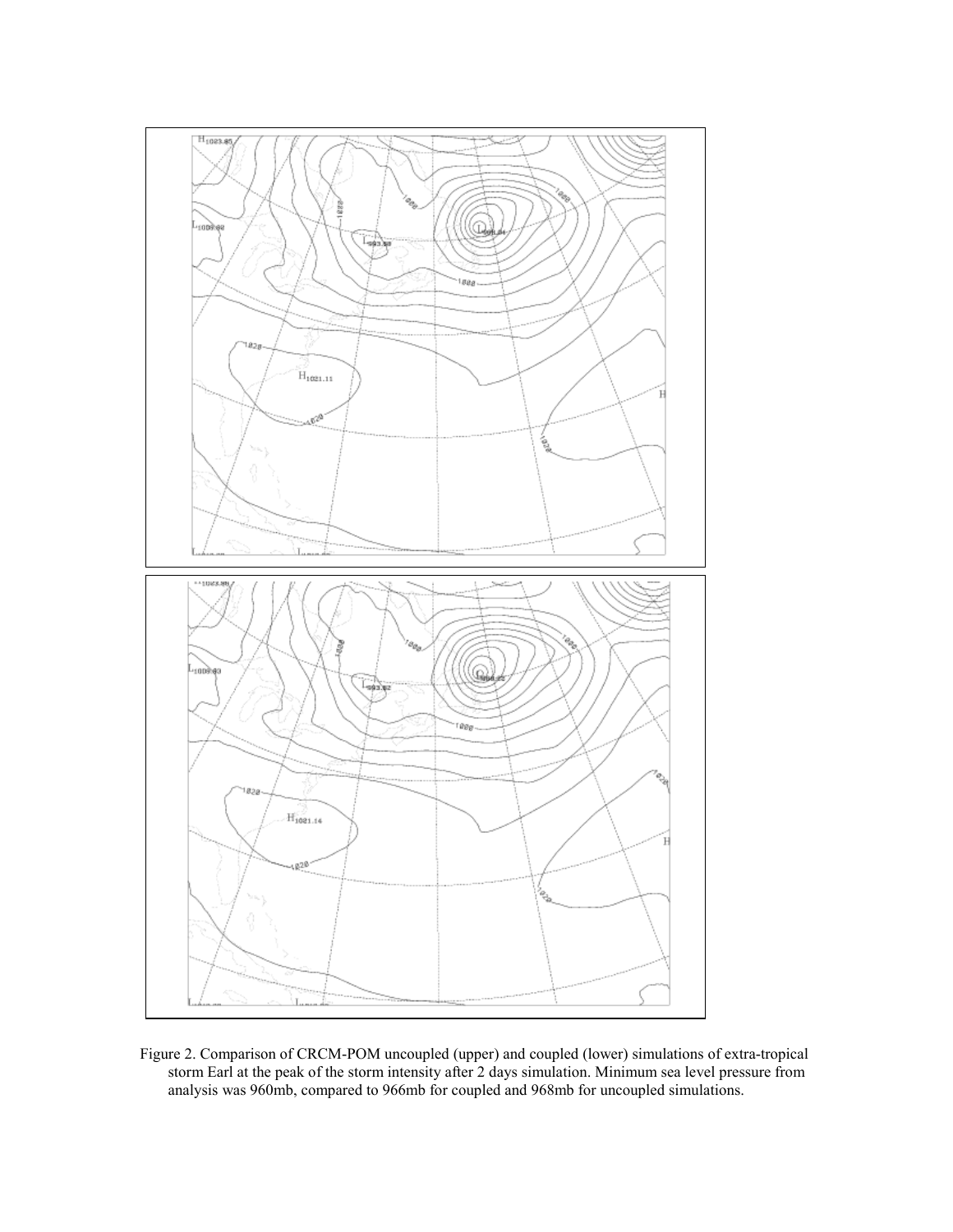

Figure 2. Comparison of CRCM-POM uncoupled (upper) and coupled (lower) simulations of extra-tropical storm Earl at the peak of the storm intensity after 2 days simulation. Minimum sea level pressure from analysis was 960mb, compared to 966mb for coupled and 968mb for uncoupled simulations.